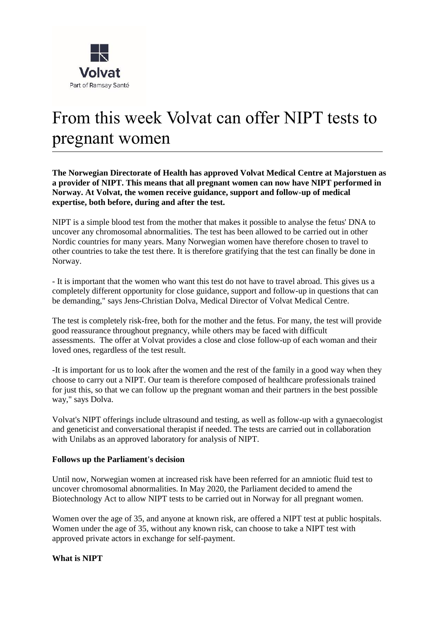

# From this week Volvat can offer NIPT tests to pregnant women

**The Norwegian Directorate of Health has approved Volvat Medical Centre at Majorstuen as a provider of NIPT. This means that all pregnant women can now have NIPT performed in Norway. At Volvat, the women receive guidance, support and follow-up of medical expertise, both before, during and after the test.**

NIPT is a simple blood test from the mother that makes it possible to analyse the fetus' DNA to uncover any chromosomal abnormalities. The test has been allowed to be carried out in other Nordic countries for many years. Many Norwegian women have therefore chosen to travel to other countries to take the test there. It is therefore gratifying that the test can finally be done in Norway.

- It is important that the women who want this test do not have to travel abroad. This gives us a completely different opportunity for close guidance, support and follow-up in questions that can be demanding," says Jens-Christian Dolva, Medical Director of Volvat Medical Centre.

The test is completely risk-free, both for the mother and the fetus. For many, the test will provide good reassurance throughout pregnancy, while others may be faced with difficult assessments. The offer at Volvat provides a close and close follow-up of each woman and their loved ones, regardless of the test result.

-It is important for us to look after the women and the rest of the family in a good way when they choose to carry out a NIPT. Our team is therefore composed of healthcare professionals trained for just this, so that we can follow up the pregnant woman and their partners in the best possible way," says Dolva.

Volvat's NIPT offerings include ultrasound and testing, as well as follow-up with a gynaecologist and geneticist and conversational therapist if needed. The tests are carried out in collaboration with Unilabs as an approved laboratory for analysis of NIPT.

#### **Follows up the Parliament's decision**

Until now, Norwegian women at increased risk have been referred for an amniotic fluid test to uncover chromosomal abnormalities. In May 2020, the Parliament decided to amend the Biotechnology Act to allow NIPT tests to be carried out in Norway for all pregnant women.

Women over the age of 35, and anyone at known risk, are offered a NIPT test at public hospitals. Women under the age of 35, without any known risk, can choose to take a NIPT test with approved private actors in exchange for self-payment.

**What is NIPT**